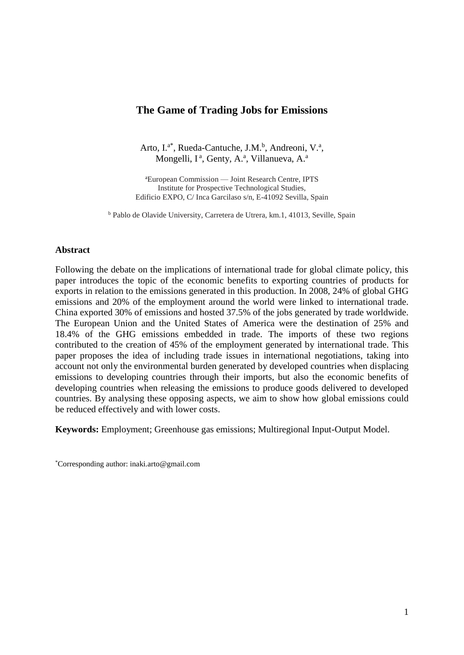# **The Game of Trading Jobs for Emissions**

Arto, I.<sup>a\*</sup>, Rueda-Cantuche, J.M.<sup>b</sup>, Andreoni, V.<sup>a</sup>, Mongelli, I<sup>a</sup>, Genty, A.<sup>a</sup>, Villanueva, A.<sup>a</sup>

<sup>a</sup>European Commission — Joint Research Centre, IPTS Institute for Prospective Technological Studies, Edificio EXPO, C/ Inca Garcilaso s/n, E-41092 Sevilla, Spain

<sup>b</sup> Pablo de Olavide University, Carretera de Utrera, km.1, 41013, Seville, Spain

## **Abstract**

Following the debate on the implications of international trade for global climate policy, this paper introduces the topic of the economic benefits to exporting countries of products for exports in relation to the emissions generated in this production. In 2008, 24% of global GHG emissions and 20% of the employment around the world were linked to international trade. China exported 30% of emissions and hosted 37.5% of the jobs generated by trade worldwide. The European Union and the United States of America were the destination of 25% and 18.4% of the GHG emissions embedded in trade. The imports of these two regions contributed to the creation of 45% of the employment generated by international trade. This paper proposes the idea of including trade issues in international negotiations, taking into account not only the environmental burden generated by developed countries when displacing emissions to developing countries through their imports, but also the economic benefits of developing countries when releasing the emissions to produce goods delivered to developed countries. By analysing these opposing aspects, we aim to show how global emissions could be reduced effectively and with lower costs.

**Keywords:** Employment; Greenhouse gas emissions; Multiregional Input-Output Model.

<sup>\*</sup>Corresponding author: inaki.arto@gmail.com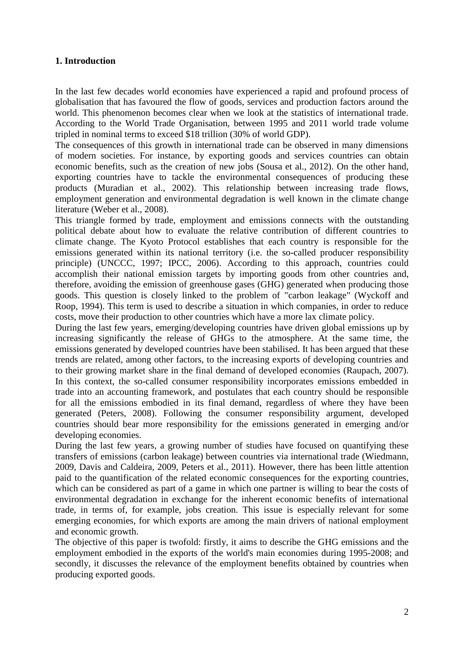# **1. Introduction**

In the last few decades world economies have experienced a rapid and profound process of globalisation that has favoured the flow of goods, services and production factors around the world. This phenomenon becomes clear when we look at the statistics of international trade. According to the World Trade Organisation, between 1995 and 2011 world trade volume tripled in nominal terms to exceed \$18 trillion (30% of world GDP).

The consequences of this growth in international trade can be observed in many dimensions of modern societies. For instance, by exporting goods and services countries can obtain economic benefits, such as the creation of new jobs (Sousa et al., 2012). On the other hand, exporting countries have to tackle the environmental consequences of producing these products (Muradian et al., 2002). This relationship between increasing trade flows, employment generation and environmental degradation is well known in the climate change literature (Weber et al., 2008).

This triangle formed by trade, employment and emissions connects with the outstanding political debate about how to evaluate the relative contribution of different countries to climate change. The Kyoto Protocol establishes that each country is responsible for the emissions generated within its national territory (i.e. the so-called producer responsibility principle) (UNCCC, 1997; IPCC, 2006). According to this approach, countries could accomplish their national emission targets by importing goods from other countries and, therefore, avoiding the emission of greenhouse gases (GHG) generated when producing those goods. This question is closely linked to the problem of "carbon leakage" (Wyckoff and Roop, 1994). This term is used to describe a situation in which companies, in order to reduce costs, move their production to other countries which have a more lax climate policy.

During the last few years, emerging/developing countries have driven global emissions up by increasing significantly the release of GHGs to the atmosphere. At the same time, the emissions generated by developed countries have been stabilised. It has been argued that these trends are related, among other factors, to the increasing exports of developing countries and to their growing market share in the final demand of developed economies (Raupach, 2007). In this context, the so-called consumer responsibility incorporates emissions embedded in trade into an accounting framework, and postulates that each country should be responsible for all the emissions embodied in its final demand, regardless of where they have been generated (Peters, 2008). Following the consumer responsibility argument, developed countries should bear more responsibility for the emissions generated in emerging and/or developing economies.

During the last few years, a growing number of studies have focused on quantifying these transfers of emissions (carbon leakage) between countries via international trade (Wiedmann, 2009, Davis and Caldeira, 2009, Peters et al., 2011). However, there has been little attention paid to the quantification of the related economic consequences for the exporting countries, which can be considered as part of a game in which one partner is willing to bear the costs of environmental degradation in exchange for the inherent economic benefits of international trade, in terms of, for example, jobs creation. This issue is especially relevant for some emerging economies, for which exports are among the main drivers of national employment and economic growth.

The objective of this paper is twofold: firstly, it aims to describe the GHG emissions and the employment embodied in the exports of the world's main economies during 1995-2008; and secondly, it discusses the relevance of the employment benefits obtained by countries when producing exported goods.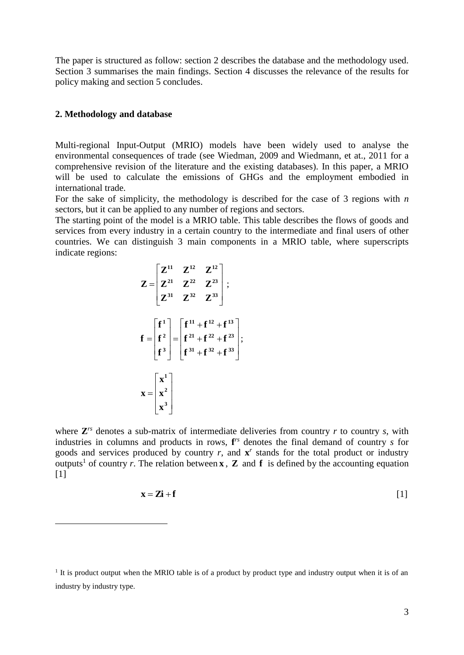The paper is structured as follow: section 2 describes the database and the methodology used. Section 3 summarises the main findings. Section 4 discusses the relevance of the results for policy making and section 5 concludes.

#### **2. Methodology and database**

 $\overline{a}$ 

Multi-regional Input-Output (MRIO) models have been widely used to analyse the environmental consequences of trade (see Wiedman, 2009 and Wiedmann, et at., 2011 for a comprehensive revision of the literature and the existing databases). In this paper, a MRIO will be used to calculate the emissions of GHGs and the employment embodied in international trade.

For the sake of simplicity, the methodology is described for the case of 3 regions with *n* sectors, but it can be applied to any number of regions and sectors.

The starting point of the model is a MRIO table. This table describes the flows of goods and services from every industry in a certain country to the intermediate and final users of other countries. We can distinguish 3 main components in a MRIO table, where superscripts indicate regions:

$$
Z = \begin{bmatrix} Z^{11} & Z^{12} & Z^{12} \\ Z^{21} & Z^{22} & Z^{23} \\ Z^{31} & Z^{32} & Z^{33} \end{bmatrix};
$$

$$
f = \begin{bmatrix} f^{1} \\ f^{2} \\ f^{3} \end{bmatrix} = \begin{bmatrix} f^{11} + f^{12} + f^{13} \\ f^{21} + f^{22} + f^{23} \\ f^{31} + f^{32} + f^{33} \end{bmatrix};
$$

$$
x = \begin{bmatrix} x^{1} \\ x^{2} \\ x^{3} \end{bmatrix}
$$

where  $\mathbb{Z}^{rs}$  denotes a sub-matrix of intermediate deliveries from country  $r$  to country  $s$ , with industries in columns and products in rows, **f** *rs* denotes the final demand of country *s* for goods and services produced by country  $r$ , and  $\mathbf{x}^r$  stands for the total product or industry outputs<sup>1</sup> of country *r*. The relation between **x**, **Z** and **f** is defined by the accounting equation  $[1]$ 

$$
\mathbf{x} = \mathbf{Z}\mathbf{i} + \mathbf{f} \tag{1}
$$

<sup>&</sup>lt;sup>1</sup> It is product output when the MRIO table is of a product by product type and industry output when it is of an industry by industry type.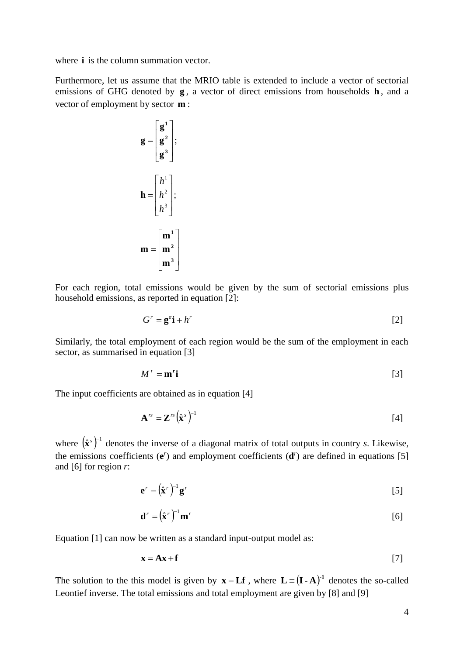where *i* is the column summation vector.

Furthermore, let us assume that the MRIO table is extended to include a vector of sectorial emissions of GHG denoted by **g**, a vector of direct emissions from households **h**, and a vector of employment by sector **m** :

$$
\mathbf{g} = \begin{bmatrix} \mathbf{g}^{1} \\ \mathbf{g}^{2} \\ \mathbf{g}^{3} \end{bmatrix};
$$

$$
\mathbf{h} = \begin{bmatrix} h^{1} \\ h^{2} \\ h^{3} \end{bmatrix};
$$

$$
\mathbf{m} = \begin{bmatrix} \mathbf{m}^{1} \\ \mathbf{m}^{2} \\ \mathbf{m}^{3} \end{bmatrix}
$$

For each region, total emissions would be given by the sum of sectorial emissions plus household emissions, as reported in equation [2]:

$$
G^r = \mathbf{g}^r \mathbf{i} + h^r \tag{2}
$$

Similarly, the total employment of each region would be the sum of the employment in each sector, as summarised in equation [3]

$$
M^r = \mathbf{m}^r \mathbf{i}
$$
 [3]

The input coefficients are obtained as in equation [4]

$$
\mathbf{A}^{rs} = \mathbf{Z}^{rs} (\hat{\mathbf{x}}^s)^{-1}
$$
 [4]

where  $(\hat{\mathbf{x}}^s)^{-1}$  $\hat{\mathbf{x}}^s$ <sup>-1</sup> denotes the inverse of a diagonal matrix of total outputs in country *s*. Likewise, the emissions coefficients  $(e^r)$  and employment coefficients  $(d^r)$  are defined in equations [5] and [6] for region *r*:

$$
\mathbf{e}^r = (\hat{\mathbf{x}}^r)^{-1} \mathbf{g}^r \tag{5}
$$

$$
\mathbf{d}^r = (\hat{\mathbf{x}}^r)^{-1} \mathbf{m}^r
$$
 [6]

Equation [1] can now be written as a standard input-output model as:

$$
\mathbf{x} = \mathbf{A}\mathbf{x} + \mathbf{f} \tag{7}
$$

The solution to the this model is given by  $\mathbf{x} = \mathbf{L} \mathbf{f}$ , where  $\mathbf{L} = (\mathbf{I} \cdot \mathbf{A})^{-1}$  denotes the so-called Leontief inverse. The total emissions and total employment are given by [8] and [9]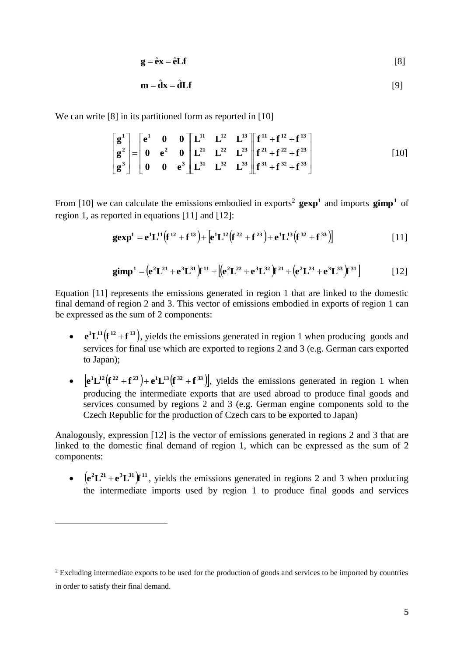$$
\mathbf{g} = \hat{\mathbf{e}} \mathbf{x} = \hat{\mathbf{e}} \mathbf{L} \mathbf{f} \tag{8}
$$

$$
\mathbf{m} = \hat{\mathbf{d}}\mathbf{x} = \hat{\mathbf{d}}\mathbf{L}\mathbf{f}
$$
 [9]

We can write [8] in its partitioned form as reported in [10]

$$
\begin{bmatrix} g^{1} \\ g^{2} \\ g^{3} \end{bmatrix} = \begin{bmatrix} e^{1} & 0 & 0 \\ 0 & e^{2} & 0 \\ 0 & 0 & e^{3} \end{bmatrix} \begin{bmatrix} L^{11} & L^{12} & L^{13} \\ L^{21} & L^{22} & L^{23} \\ L^{31} & L^{32} & L^{33} \end{bmatrix} \begin{bmatrix} f^{11} + f^{12} + f^{13} \\ f^{21} + f^{22} + f^{23} \\ f^{31} + f^{32} + f^{33} \end{bmatrix}
$$
 [10]

From [10] we can calculate the emissions embodied in exports<sup>2</sup>  $\textbf{gexp}^1$  and imports  $\textbf{gimp}^1$  of region 1, as reported in equations [11] and [12]:

$$
gexp1 = e1L11(f12 + f13) + [e1L12(f22 + f23) + e1L13(f32 + f33)]
$$
 [11]

$$
\text{gimp}^1 = (e^2 L^{21} + e^3 L^{31})f^{11} + [(e^2 L^{22} + e^3 L^{32})f^{21} + (e^2 L^{23} + e^3 L^{33})f^{31}] \tag{12}
$$

Equation [11] represents the emissions generated in region 1 that are linked to the domestic final demand of region 2 and 3. This vector of emissions embodied in exports of region 1 can be expressed as the sum of 2 components:

- $e^{i}L^{11}(f^{12}+f^{13})$ , yields the emissions generated in region 1 when producing goods and services for final use which are exported to regions 2 and 3 (e.g. German cars exported to Japan);
- $\bullet$   $\left[e^{i}L^{12}(f^{22}+f^{23})+e^{i}L^{13}(f^{32}+f^{33})\right]$ , yields the emissions generated in region 1 when producing the intermediate exports that are used abroad to produce final goods and services consumed by regions 2 and 3 (e.g. German engine components sold to the Czech Republic for the production of Czech cars to be exported to Japan)

Analogously, expression [12] is the vector of emissions generated in regions 2 and 3 that are linked to the domestic final demand of region 1, which can be expressed as the sum of 2 components:

**•**  $(e^2L^{21} + e^3L^{31})f^{11}$ , yields the emissions generated in regions 2 and 3 when producing the intermediate imports used by region 1 to produce final goods and services

 $\overline{a}$ 

<sup>&</sup>lt;sup>2</sup> Excluding intermediate exports to be used for the production of goods and services to be imported by countries in order to satisfy their final demand.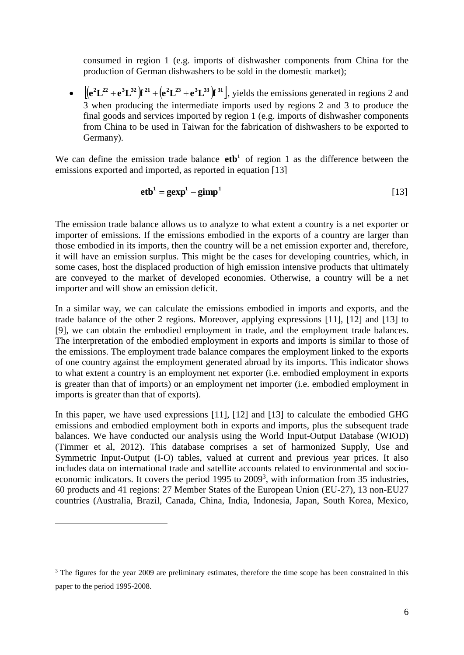consumed in region 1 (e.g. imports of dishwasher components from China for the production of German dishwashers to be sold in the domestic market);

•  $[(e^2L^{22}+e^3L^{32})r^{21}+(e^2L^{23}+e^3L^{33})r^{31}]$ , yields the emissions generated in regions 2 and 3 when producing the intermediate imports used by regions 2 and 3 to produce the final goods and services imported by region 1 (e.g. imports of dishwasher components from China to be used in Taiwan for the fabrication of dishwashers to be exported to Germany).

We can define the emission trade balance  $e$ **tb**<sup>1</sup> of region 1 as the difference between the emissions exported and imported, as reported in equation [13]

$$
eth1 = gexp1 - gimp1
$$
 [13]

The emission trade balance allows us to analyze to what extent a country is a net exporter or importer of emissions. If the emissions embodied in the exports of a country are larger than those embodied in its imports, then the country will be a net emission exporter and, therefore, it will have an emission surplus. This might be the cases for developing countries, which, in some cases, host the displaced production of high emission intensive products that ultimately are conveyed to the market of developed economies. Otherwise, a country will be a net importer and will show an emission deficit.

In a similar way, we can calculate the emissions embodied in imports and exports, and the trade balance of the other 2 regions. Moreover, applying expressions [11], [12] and [13] to [9], we can obtain the embodied employment in trade, and the employment trade balances. The interpretation of the embodied employment in exports and imports is similar to those of the emissions. The employment trade balance compares the employment linked to the exports of one country against the employment generated abroad by its imports. This indicator shows to what extent a country is an employment net exporter (i.e. embodied employment in exports is greater than that of imports) or an employment net importer (i.e. embodied employment in imports is greater than that of exports).

In this paper, we have used expressions [11], [12] and [13] to calculate the embodied GHG emissions and embodied employment both in exports and imports, plus the subsequent trade balances. We have conducted our analysis using the World Input-Output Database (WIOD) (Timmer et al, 2012). This database comprises a set of harmonized Supply, Use and Symmetric Input-Output (I-O) tables, valued at current and previous year prices. It also includes data on international trade and satellite accounts related to environmental and socioeconomic indicators. It covers the period 1995 to 2009<sup>3</sup>, with information from 35 industries, 60 products and 41 regions: 27 Member States of the European Union (EU-27), 13 non-EU27 countries (Australia, Brazil, Canada, China, India, Indonesia, Japan, South Korea, Mexico,

 $\overline{a}$ 

<sup>&</sup>lt;sup>3</sup> The figures for the year 2009 are preliminary estimates, therefore the time scope has been constrained in this paper to the period 1995-2008.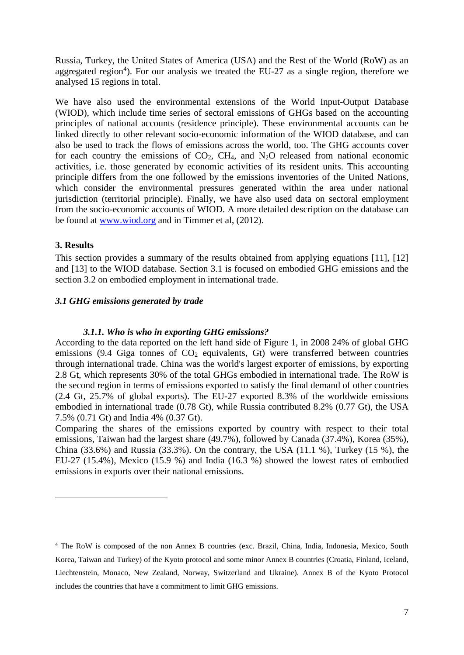Russia, Turkey, the United States of America (USA) and the Rest of the World (RoW) as an aggregated region<sup>4</sup>). For our analysis we treated the EU-27 as a single region, therefore we analysed 15 regions in total.

We have also used the environmental extensions of the World Input-Output Database (WIOD), which include time series of sectoral emissions of GHGs based on the accounting principles of national accounts (residence principle). These environmental accounts can be linked directly to other relevant socio-economic information of the WIOD database, and can also be used to track the flows of emissions across the world, too. The GHG accounts cover for each country the emissions of  $CO<sub>2</sub>$ , CH<sub>4</sub>, and N<sub>2</sub>O released from national economic activities, i.e. those generated by economic activities of its resident units. This accounting principle differs from the one followed by the emissions inventories of the United Nations, which consider the environmental pressures generated within the area under national jurisdiction (territorial principle). Finally, we have also used data on sectoral employment from the socio-economic accounts of WIOD. A more detailed description on the database can be found at [www.wiod.org](http://www.wiod.org/) and in Timmer et al, (2012).

## **3. Results**

 $\overline{a}$ 

This section provides a summary of the results obtained from applying equations [11], [12] and [13] to the WIOD database. Section 3.1 is focused on embodied GHG emissions and the section 3.2 on embodied employment in international trade.

## *3.1 GHG emissions generated by trade*

#### *3.1.1. Who is who in exporting GHG emissions?*

According to the data reported on the left hand side of Figure 1, in 2008 24% of global GHG emissions (9.4 Giga tonnes of  $CO<sub>2</sub>$  equivalents, Gt) were transferred between countries through international trade. China was the world's largest exporter of emissions, by exporting 2.8 Gt, which represents 30% of the total GHGs embodied in international trade. The RoW is the second region in terms of emissions exported to satisfy the final demand of other countries (2.4 Gt, 25.7% of global exports). The EU-27 exported 8.3% of the worldwide emissions embodied in international trade (0.78 Gt), while Russia contributed 8.2% (0.77 Gt), the USA 7.5% (0.71 Gt) and India 4% (0.37 Gt).

Comparing the shares of the emissions exported by country with respect to their total emissions, Taiwan had the largest share (49.7%), followed by Canada (37.4%), Korea (35%), China  $(33.6\%)$  and Russia  $(33.3\%)$ . On the contrary, the USA  $(11.1\%)$ , Turkey  $(15\%)$ , the EU-27 (15.4%), Mexico (15.9 %) and India (16.3 %) showed the lowest rates of embodied emissions in exports over their national emissions.

<sup>4</sup> The RoW is composed of the non Annex B countries (exc. Brazil, China, India, Indonesia, Mexico, South Korea, Taiwan and Turkey) of the Kyoto protocol and some minor Annex B countries (Croatia, Finland, Iceland, Liechtenstein, Monaco, New Zealand, Norway, Switzerland and Ukraine). Annex B of the Kyoto Protocol includes the countries that have a commitment to limit GHG emissions.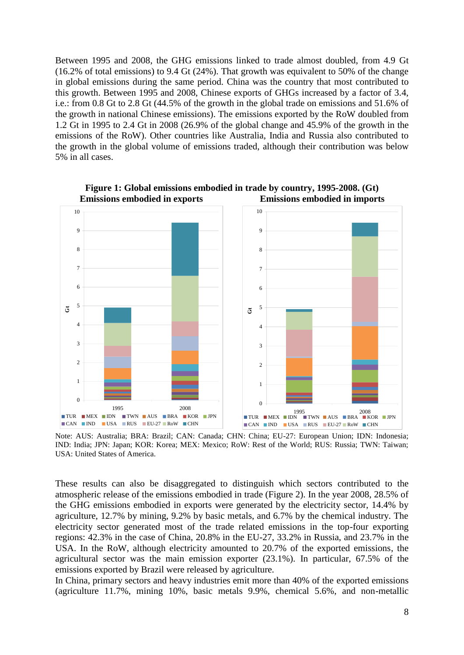Between 1995 and 2008, the GHG emissions linked to trade almost doubled, from 4.9 Gt (16.2% of total emissions) to 9.4 Gt (24%). That growth was equivalent to 50% of the change in global emissions during the same period. China was the country that most contributed to this growth. Between 1995 and 2008, Chinese exports of GHGs increased by a factor of 3.4, i.e.: from 0.8 Gt to 2.8 Gt (44.5% of the growth in the global trade on emissions and 51.6% of the growth in national Chinese emissions). The emissions exported by the RoW doubled from 1.2 Gt in 1995 to 2.4 Gt in 2008 (26.9% of the global change and 45.9% of the growth in the emissions of the RoW). Other countries like Australia, India and Russia also contributed to the growth in the global volume of emissions traded, although their contribution was below 5% in all cases.



**Figure 1: Global emissions embodied in trade by country, 1995-2008. (Gt) Emissions embodied in exports Emissions embodied in imports**

Note: AUS: Australia; BRA: Brazil; CAN: Canada; CHN: China; EU-27: European Union; IDN: Indonesia; IND: India; JPN: Japan; KOR: Korea; MEX: Mexico; RoW: Rest of the World; RUS: Russia; TWN: Taiwan; USA: United States of America.

These results can also be disaggregated to distinguish which sectors contributed to the atmospheric release of the emissions embodied in trade [\(Figure 2\)](#page-8-0). In the year 2008, 28.5% of the GHG emissions embodied in exports were generated by the electricity sector, 14.4% by agriculture, 12.7% by mining, 9.2% by basic metals, and 6.7% by the chemical industry. The electricity sector generated most of the trade related emissions in the top-four exporting regions: 42.3% in the case of China, 20.8% in the EU-27, 33.2% in Russia, and 23.7% in the USA. In the RoW, although electricity amounted to 20.7% of the exported emissions, the agricultural sector was the main emission exporter (23.1%). In particular, 67.5% of the emissions exported by Brazil were released by agriculture.

In China, primary sectors and heavy industries emit more than 40% of the exported emissions (agriculture 11.7%, mining 10%, basic metals 9.9%, chemical 5.6%, and non-metallic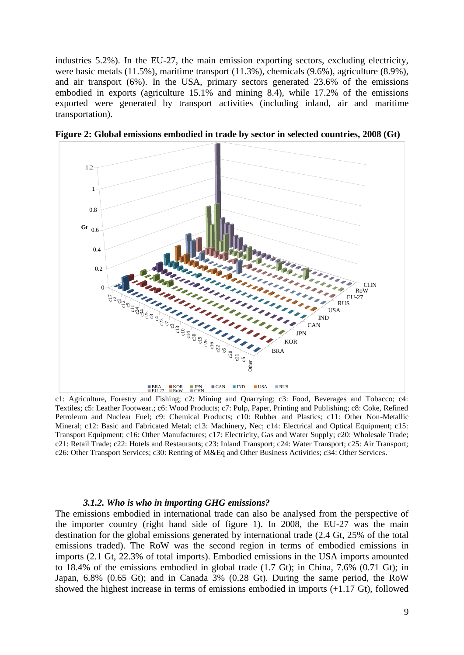industries 5.2%). In the EU-27, the main emission exporting sectors, excluding electricity, were basic metals (11.5%), maritime transport (11.3%), chemicals (9.6%), agriculture (8.9%), and air transport (6%). In the USA, primary sectors generated 23.6% of the emissions embodied in exports (agriculture 15.1% and mining 8.4), while 17.2% of the emissions exported were generated by transport activities (including inland, air and maritime transportation).



<span id="page-8-0"></span>**Figure 2: Global emissions embodied in trade by sector in selected countries, 2008 (Gt)**

c1: Agriculture, Forestry and Fishing; c2: Mining and Quarrying; c3: Food, Beverages and Tobacco; c4: Textiles; c5: Leather Footwear.; c6: Wood Products; c7: Pulp, Paper, Printing and Publishing; c8: Coke, Refined Petroleum and Nuclear Fuel; c9: Chemical Products; c10: Rubber and Plastics; c11: Other Non-Metallic Mineral; c12: Basic and Fabricated Metal; c13: Machinery, Nec; c14: Electrical and Optical Equipment; c15: Transport Equipment; c16: Other Manufactures; c17: Electricity, Gas and Water Supply; c20: Wholesale Trade; c21: Retail Trade; c22: Hotels and Restaurants; c23: Inland Transport; c24: Water Transport; c25: Air Transport; c26: Other Transport Services; c30: Renting of M&Eq and Other Business Activities; c34: Other Services.

#### *3.1.2. Who is who in importing GHG emissions?*

The emissions embodied in international trade can also be analysed from the perspective of the importer country (right hand side of figure 1). In 2008, the EU-27 was the main destination for the global emissions generated by international trade (2.4 Gt, 25% of the total emissions traded). The RoW was the second region in terms of embodied emissions in imports (2.1 Gt, 22.3% of total imports). Embodied emissions in the USA imports amounted to 18.4% of the emissions embodied in global trade (1.7 Gt); in China, 7.6% (0.71 Gt); in Japan, 6.8% (0.65 Gt); and in Canada 3% (0.28 Gt). During the same period, the RoW showed the highest increase in terms of emissions embodied in imports (+1.17 Gt), followed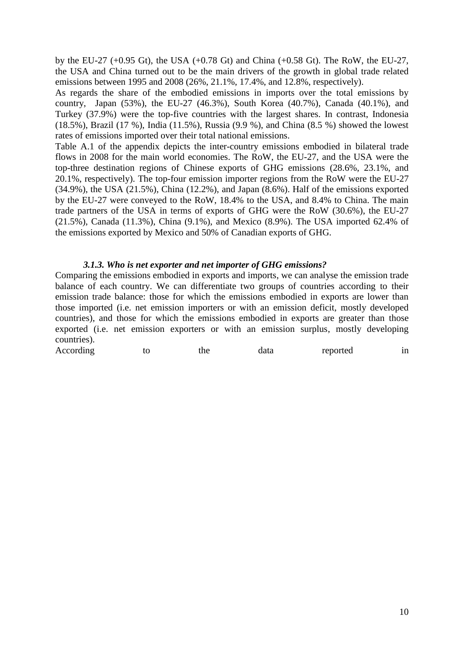by the EU-27 (+0.95 Gt), the USA (+0.78 Gt) and China (+0.58 Gt). The RoW, the EU-27, the USA and China turned out to be the main drivers of the growth in global trade related emissions between 1995 and 2008 (26%, 21.1%, 17.4%, and 12.8%, respectively).

As regards the share of the embodied emissions in imports over the total emissions by country, Japan (53%), the EU-27 (46.3%), South Korea (40.7%), Canada (40.1%), and Turkey (37.9%) were the top-five countries with the largest shares. In contrast, Indonesia (18.5%), Brazil (17 %), India (11.5%), Russia (9.9 %), and China (8.5 %) showed the lowest rates of emissions imported over their total national emissions.

Table A.1 of the appendix depicts the inter-country emissions embodied in bilateral trade flows in 2008 for the main world economies. The RoW, the EU-27, and the USA were the top-three destination regions of Chinese exports of GHG emissions (28.6%, 23.1%, and 20.1%, respectively). The top-four emission importer regions from the RoW were the EU-27 (34.9%), the USA (21.5%), China (12.2%), and Japan (8.6%). Half of the emissions exported by the EU-27 were conveyed to the RoW, 18.4% to the USA, and 8.4% to China. The main trade partners of the USA in terms of exports of GHG were the RoW (30.6%), the EU-27 (21.5%), Canada (11.3%), China (9.1%), and Mexico (8.9%). The USA imported 62.4% of the emissions exported by Mexico and 50% of Canadian exports of GHG.

## *3.1.3. Who is net exporter and net importer of GHG emissions?*

Comparing the emissions embodied in exports and imports, we can analyse the emission trade balance of each country. We can differentiate two groups of countries according to their emission trade balance: those for which the emissions embodied in exports are lower than those imported (i.e. net emission importers or with an emission deficit, mostly developed countries), and those for which the emissions embodied in exports are greater than those exported (i.e. net emission exporters or with an emission surplus, mostly developing countries).

|  | According | tΩ | the | data | reported | ın |
|--|-----------|----|-----|------|----------|----|
|--|-----------|----|-----|------|----------|----|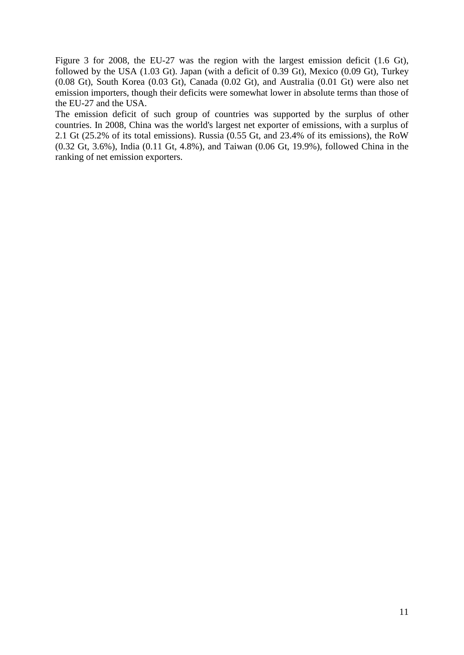[Figure](#page-11-0) 3 for 2008, the EU-27 was the region with the largest emission deficit (1.6 Gt), followed by the USA (1.03 Gt). Japan (with a deficit of 0.39 Gt), Mexico (0.09 Gt), Turkey (0.08 Gt), South Korea (0.03 Gt), Canada (0.02 Gt), and Australia (0.01 Gt) were also net emission importers, though their deficits were somewhat lower in absolute terms than those of the EU-27 and the USA.

The emission deficit of such group of countries was supported by the surplus of other countries. In 2008, China was the world's largest net exporter of emissions, with a surplus of 2.1 Gt (25.2% of its total emissions). Russia (0.55 Gt, and 23.4% of its emissions), the RoW (0.32 Gt, 3.6%), India (0.11 Gt, 4.8%), and Taiwan (0.06 Gt, 19.9%), followed China in the ranking of net emission exporters.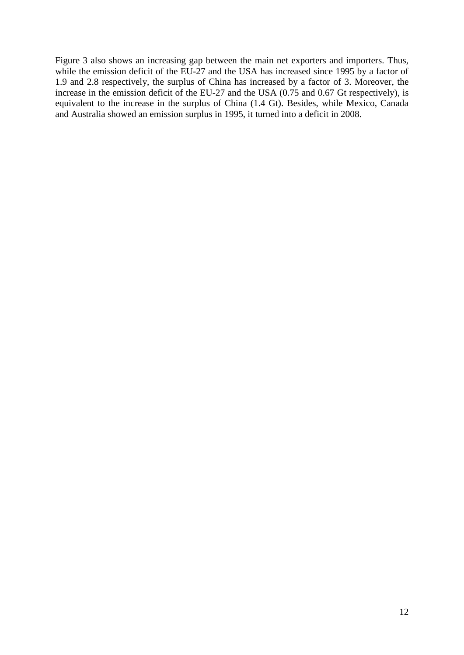<span id="page-11-0"></span>[Figure](#page-11-0) 3 also shows an increasing gap between the main net exporters and importers. Thus, while the emission deficit of the EU-27 and the USA has increased since 1995 by a factor of 1.9 and 2.8 respectively, the surplus of China has increased by a factor of 3. Moreover, the increase in the emission deficit of the EU-27 and the USA (0.75 and 0.67 Gt respectively), is equivalent to the increase in the surplus of China (1.4 Gt). Besides, while Mexico, Canada and Australia showed an emission surplus in 1995, it turned into a deficit in 2008.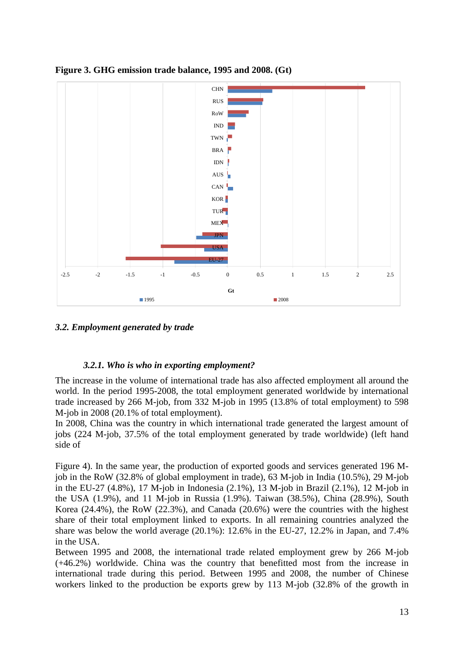

**Figure 3. GHG emission trade balance, 1995 and 2008. (Gt)**

# *3.2. Employment generated by trade*

# *3.2.1. Who is who in exporting employment?*

The increase in the volume of international trade has also affected employment all around the world. In the period 1995-2008, the total employment generated worldwide by international trade increased by 266 M-job, from 332 M-job in 1995 (13.8% of total employment) to 598 M-job in 2008 (20.1% of total employment).

In 2008, China was the country in which international trade generated the largest amount of jobs (224 M-job, 37.5% of the total employment generated by trade worldwide) (left hand side of

[Figure](#page-13-0) 4). In the same year, the production of exported goods and services generated 196 Mjob in the RoW (32.8% of global employment in trade), 63 M-job in India (10.5%), 29 M-job in the EU-27 (4.8%), 17 M-job in Indonesia (2.1%), 13 M-job in Brazil (2.1%), 12 M-job in the USA (1.9%), and 11 M-job in Russia (1.9%). Taiwan (38.5%), China (28.9%), South Korea (24.4%), the RoW (22.3%), and Canada (20.6%) were the countries with the highest share of their total employment linked to exports. In all remaining countries analyzed the share was below the world average (20.1%): 12.6% in the EU-27, 12.2% in Japan, and 7.4% in the USA.

Between 1995 and 2008, the international trade related employment grew by 266 M-job (+46.2%) worldwide. China was the country that benefitted most from the increase in international trade during this period. Between 1995 and 2008, the number of Chinese workers linked to the production be exports grew by 113 M-job (32.8% of the growth in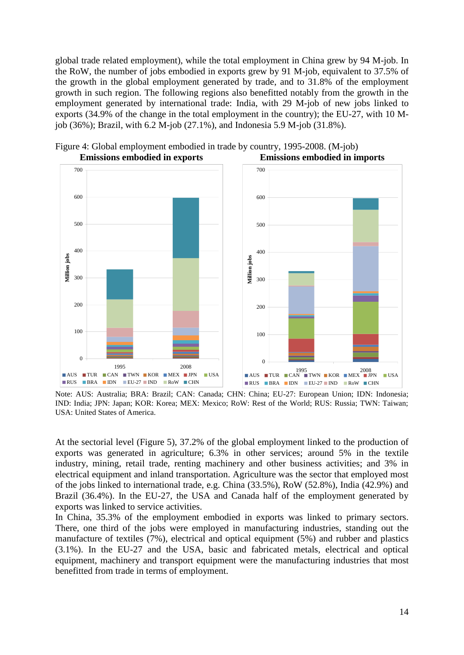global trade related employment), while the total employment in China grew by 94 M-job. In the RoW, the number of jobs embodied in exports grew by 91 M-job, equivalent to 37.5% of the growth in the global employment generated by trade, and to 31.8% of the employment growth in such region. The following regions also benefitted notably from the growth in the employment generated by international trade: India, with 29 M-job of new jobs linked to exports (34.9% of the change in the total employment in the country); the EU-27, with 10 Mjob (36%); Brazil, with 6.2 M-job (27.1%), and Indonesia 5.9 M-job (31.8%).

<span id="page-13-0"></span>

Figure 4: Global employment embodied in trade by country, 1995-2008. (M-job) **Emissions embodied in exports Emissions embodied in imports**

Note: AUS: Australia; BRA: Brazil; CAN: Canada; CHN: China; EU-27: European Union; IDN: Indonesia; IND: India; JPN: Japan; KOR: Korea; MEX: Mexico; RoW: Rest of the World; RUS: Russia; TWN: Taiwan; USA: United States of America.

At the sectorial level (Figure 5), 37.2% of the global employment linked to the production of exports was generated in agriculture; 6.3% in other services; around 5% in the textile industry, mining, retail trade, renting machinery and other business activities; and 3% in electrical equipment and inland transportation. Agriculture was the sector that employed most of the jobs linked to international trade, e.g. China (33.5%), RoW (52.8%), India (42.9%) and Brazil (36.4%). In the EU-27, the USA and Canada half of the employment generated by exports was linked to service activities.

In China, 35.3% of the employment embodied in exports was linked to primary sectors. There, one third of the jobs were employed in manufacturing industries, standing out the manufacture of textiles (7%), electrical and optical equipment (5%) and rubber and plastics (3.1%). In the EU-27 and the USA, basic and fabricated metals, electrical and optical equipment, machinery and transport equipment were the manufacturing industries that most benefitted from trade in terms of employment.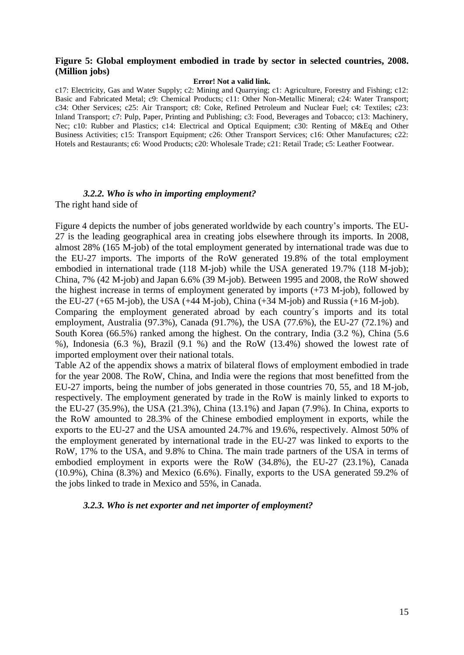#### <span id="page-14-0"></span>**Figure 5: Global employment embodied in trade by sector in selected countries, 2008. (Million jobs)**

#### **Error! Not a valid link.**

c17: Electricity, Gas and Water Supply; c2: Mining and Quarrying; c1: Agriculture, Forestry and Fishing; c12: Basic and Fabricated Metal; c9: Chemical Products; c11: Other Non-Metallic Mineral; c24: Water Transport; c34: Other Services; c25: Air Transport; c8: Coke, Refined Petroleum and Nuclear Fuel; c4: Textiles; c23: Inland Transport; c7: Pulp, Paper, Printing and Publishing; c3: Food, Beverages and Tobacco; c13: Machinery, Nec; c10: Rubber and Plastics; c14: Electrical and Optical Equipment; c30: Renting of M&Eq and Other Business Activities; c15: Transport Equipment; c26: Other Transport Services; c16: Other Manufactures; c22: Hotels and Restaurants; c6: Wood Products; c20: Wholesale Trade; c21: Retail Trade; c5: Leather Footwear.

# *3.2.2. Who is who in importing employment?*

The right hand side of

[Figure](#page-13-0) 4 depicts the number of jobs generated worldwide by each country's imports. The EU-27 is the leading geographical area in creating jobs elsewhere through its imports. In 2008, almost 28% (165 M-job) of the total employment generated by international trade was due to the EU-27 imports. The imports of the RoW generated 19.8% of the total employment embodied in international trade (118 M-job) while the USA generated 19.7% (118 M-job); China, 7% (42 M-job) and Japan 6.6% (39 M-job). Between 1995 and 2008, the RoW showed the highest increase in terms of employment generated by imports (+73 M-job), followed by the EU-27 (+65 M-job), the USA (+44 M-job), China (+34 M-job) and Russia (+16 M-job).

Comparing the employment generated abroad by each country´s imports and its total employment, Australia (97.3%), Canada (91.7%), the USA (77.6%), the EU-27 (72.1%) and South Korea (66.5%) ranked among the highest. On the contrary, India (3.2 %), China (5.6 %), Indonesia (6.3 %), Brazil (9.1 %) and the RoW (13.4%) showed the lowest rate of imported employment over their national totals.

Table A2 of the appendix shows a matrix of bilateral flows of employment embodied in trade for the year 2008. The RoW, China, and India were the regions that most benefitted from the EU-27 imports, being the number of jobs generated in those countries 70, 55, and 18 M-job, respectively. The employment generated by trade in the RoW is mainly linked to exports to the EU-27 (35.9%), the USA (21.3%), China (13.1%) and Japan (7.9%). In China, exports to the RoW amounted to 28.3% of the Chinese embodied employment in exports, while the exports to the EU-27 and the USA amounted 24.7% and 19.6%, respectively. Almost 50% of the employment generated by international trade in the EU-27 was linked to exports to the RoW, 17% to the USA, and 9.8% to China. The main trade partners of the USA in terms of embodied employment in exports were the RoW (34.8%), the EU-27 (23.1%), Canada (10.9%), China (8.3%) and Mexico (6.6%). Finally, exports to the USA generated 59.2% of the jobs linked to trade in Mexico and 55%, in Canada.

#### *3.2.3. Who is net exporter and net importer of employment?*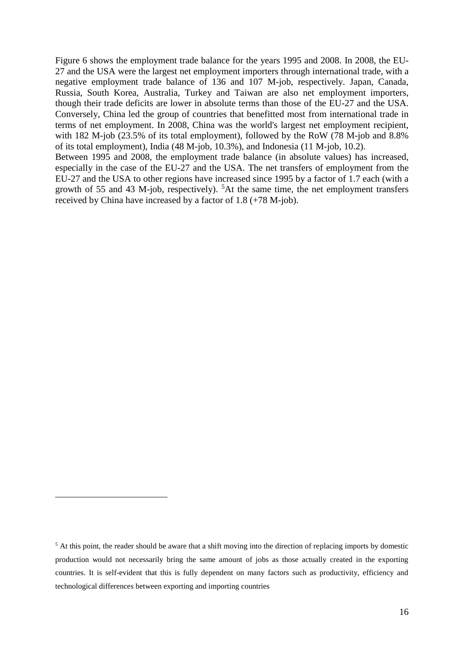[Figure](#page-15-0) 6 shows the employment trade balance for the years 1995 and 2008. In 2008, the EU-27 and the USA were the largest net employment importers through international trade, with a negative employment trade balance of 136 and 107 M-job, respectively. Japan, Canada, Russia, South Korea, Australia, Turkey and Taiwan are also net employment importers, though their trade deficits are lower in absolute terms than those of the EU-27 and the USA. Conversely, China led the group of countries that benefitted most from international trade in terms of net employment. In 2008, China was the world's largest net employment recipient, with 182 M-job (23.5% of its total employment), followed by the RoW (78 M-job and 8.8% of its total employment), India (48 M-job, 10.3%), and Indonesia (11 M-job, 10.2).

<span id="page-15-0"></span>Between 1995 and 2008, the employment trade balance (in absolute values) has increased, especially in the case of the EU-27 and the USA. The net transfers of employment from the EU-27 and the USA to other regions have increased since 1995 by a factor of 1.7 each (with a growth of 55 and 43 M-job, respectively).  ${}^{5}$ At the same time, the net employment transfers received by China have increased by a factor of 1.8 (+78 M-job).

 $\overline{a}$ 

<sup>&</sup>lt;sup>5</sup> At this point, the reader should be aware that a shift moving into the direction of replacing imports by domestic production would not necessarily bring the same amount of jobs as those actually created in the exporting countries. It is self-evident that this is fully dependent on many factors such as productivity, efficiency and technological differences between exporting and importing countries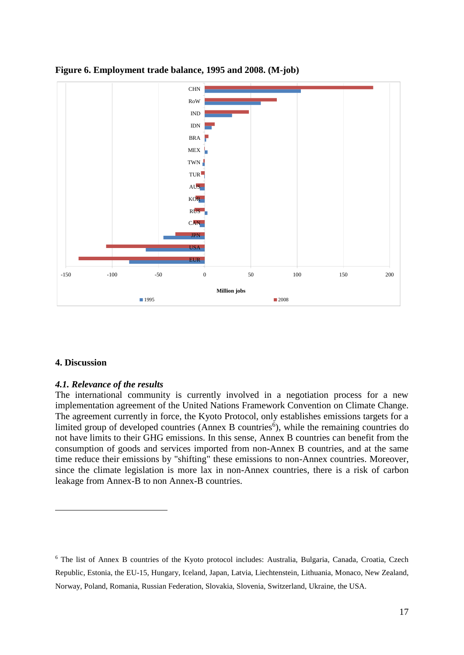



## **4. Discussion**

 $\overline{a}$ 

## *4.1. Relevance of the results*

The international community is currently involved in a negotiation process for a new implementation agreement of the United Nations Framework Convention on Climate Change. The agreement currently in force, the Kyoto Protocol, only establishes emissions targets for a limited group of developed countries (Annex B countries<sup>6</sup>), while the remaining countries do not have limits to their GHG emissions. In this sense, Annex B countries can benefit from the consumption of goods and services imported from non-Annex B countries, and at the same time reduce their emissions by "shifting" these emissions to non-Annex countries. Moreover, since the climate legislation is more lax in non-Annex countries, there is a risk of carbon leakage from Annex-B to non Annex-B countries.

<sup>&</sup>lt;sup>6</sup> The list of Annex B countries of the Kyoto protocol includes: Australia, Bulgaria, Canada, Croatia, Czech Republic, Estonia, the EU-15, Hungary, Iceland, Japan, Latvia, Liechtenstein, Lithuania, Monaco, New Zealand, Norway, Poland, Romania, Russian Federation, Slovakia, Slovenia, Switzerland, Ukraine, the USA.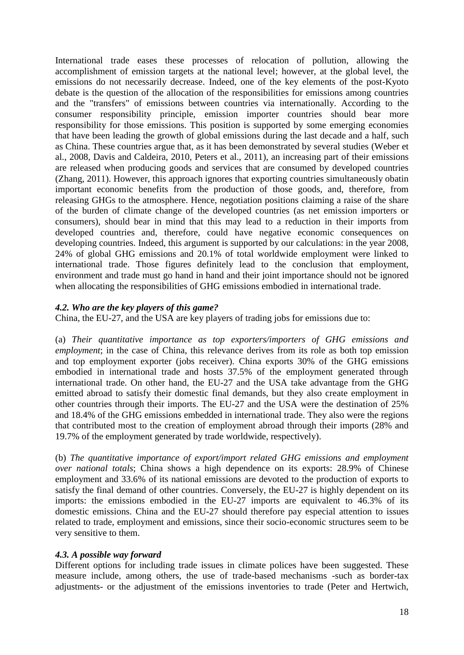International trade eases these processes of relocation of pollution, allowing the accomplishment of emission targets at the national level; however, at the global level, the emissions do not necessarily decrease. Indeed, one of the key elements of the post-Kyoto debate is the question of the allocation of the responsibilities for emissions among countries and the "transfers" of emissions between countries via internationally. According to the consumer responsibility principle, emission importer countries should bear more responsibility for those emissions. This position is supported by some emerging economies that have been leading the growth of global emissions during the last decade and a half, such as China. These countries argue that, as it has been demonstrated by several studies (Weber et al., 2008, Davis and Caldeira, 2010, Peters et al., 2011), an increasing part of their emissions are released when producing goods and services that are consumed by developed countries (Zhang, 2011). However, this approach ignores that exporting countries simultaneously obatin important economic benefits from the production of those goods, and, therefore, from releasing GHGs to the atmosphere. Hence, negotiation positions claiming a raise of the share of the burden of climate change of the developed countries (as net emission importers or consumers), should bear in mind that this may lead to a reduction in their imports from developed countries and, therefore, could have negative economic consequences on developing countries. Indeed, this argument is supported by our calculations: in the year 2008, 24% of global GHG emissions and 20.1% of total worldwide employment were linked to international trade. Those figures definitely lead to the conclusion that employment, environment and trade must go hand in hand and their joint importance should not be ignored when allocating the responsibilities of GHG emissions embodied in international trade.

## *4.2. Who are the key players of this game?*

China, the EU-27, and the USA are key players of trading jobs for emissions due to:

(a) *Their quantitative importance as top exporters/importers of GHG emissions and employment*; in the case of China, this relevance derives from its role as both top emission and top employment exporter (jobs receiver). China exports 30% of the GHG emissions embodied in international trade and hosts 37.5% of the employment generated through international trade. On other hand, the EU-27 and the USA take advantage from the GHG emitted abroad to satisfy their domestic final demands, but they also create employment in other countries through their imports. The EU-27 and the USA were the destination of 25% and 18.4% of the GHG emissions embedded in international trade. They also were the regions that contributed most to the creation of employment abroad through their imports (28% and 19.7% of the employment generated by trade worldwide, respectively).

(b) *The quantitative importance of export/import related GHG emissions and employment over national totals*; China shows a high dependence on its exports: 28.9% of Chinese employment and 33.6% of its national emissions are devoted to the production of exports to satisfy the final demand of other countries. Conversely, the EU-27 is highly dependent on its imports: the emissions embodied in the EU-27 imports are equivalent to 46.3% of its domestic emissions. China and the EU-27 should therefore pay especial attention to issues related to trade, employment and emissions, since their socio-economic structures seem to be very sensitive to them.

# *4.3. A possible way forward*

Different options for including trade issues in climate polices have been suggested. These measure include, among others, the use of trade-based mechanisms -such as border-tax adjustments- or the adjustment of the emissions inventories to trade (Peter and Hertwich,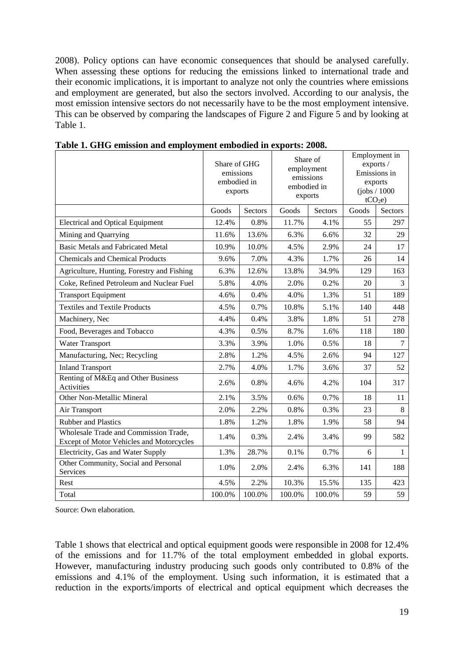2008). Policy options can have economic consequences that should be analysed carefully. When assessing these options for reducing the emissions linked to international trade and their economic implications, it is important to analyze not only the countries where emissions and employment are generated, but also the sectors involved. According to our analysis, the most emission intensive sectors do not necessarily have to be the most employment intensive. This can be observed by comparing the landscapes of [Figure 2](#page-8-0) and [Figure 5](#page-14-0) and by looking at Table 1.

|                                                                                   | Share of GHG<br>emissions<br>embodied in<br>exports |         | Share of<br>employment<br>emissions<br>embodied in<br>exports |         |       | Employment in<br>exports /<br>Emissions in<br>exports<br>(iobs / 1000<br>tCO <sub>2</sub> e |
|-----------------------------------------------------------------------------------|-----------------------------------------------------|---------|---------------------------------------------------------------|---------|-------|---------------------------------------------------------------------------------------------|
|                                                                                   | Goods                                               | Sectors | Goods                                                         | Sectors | Goods | <b>Sectors</b>                                                                              |
| <b>Electrical and Optical Equipment</b>                                           | 12.4%                                               | 0.8%    | 11.7%                                                         | 4.1%    | 55    | 297                                                                                         |
| Mining and Quarrying                                                              | 11.6%                                               | 13.6%   | 6.3%                                                          | 6.6%    | 32    | 29                                                                                          |
| <b>Basic Metals and Fabricated Metal</b>                                          | 10.9%                                               | 10.0%   | 4.5%                                                          | 2.9%    | 24    | 17                                                                                          |
| <b>Chemicals and Chemical Products</b>                                            | 9.6%                                                | 7.0%    | 4.3%                                                          | 1.7%    | 26    | 14                                                                                          |
| Agriculture, Hunting, Forestry and Fishing                                        | 6.3%                                                | 12.6%   | 13.8%                                                         | 34.9%   | 129   | 163                                                                                         |
| Coke, Refined Petroleum and Nuclear Fuel                                          | 5.8%                                                | 4.0%    | 2.0%                                                          | 0.2%    | 20    | $\overline{3}$                                                                              |
| <b>Transport Equipment</b>                                                        | 4.6%                                                | 0.4%    | 4.0%                                                          | 1.3%    | 51    | 189                                                                                         |
| <b>Textiles and Textile Products</b>                                              | 4.5%                                                | 0.7%    | 10.8%                                                         | 5.1%    | 140   | 448                                                                                         |
| Machinery, Nec                                                                    | 4.4%                                                | 0.4%    | 3.8%                                                          | 1.8%    | 51    | 278                                                                                         |
| Food, Beverages and Tobacco                                                       | 4.3%                                                | 0.5%    | 8.7%                                                          | 1.6%    | 118   | 180                                                                                         |
| <b>Water Transport</b>                                                            | 3.3%                                                | 3.9%    | 1.0%                                                          | 0.5%    | 18    | $\overline{7}$                                                                              |
| Manufacturing, Nec; Recycling                                                     | 2.8%                                                | 1.2%    | 4.5%                                                          | 2.6%    | 94    | 127                                                                                         |
| <b>Inland Transport</b>                                                           | 2.7%                                                | 4.0%    | 1.7%                                                          | 3.6%    | 37    | 52                                                                                          |
| Renting of M&Eq and Other Business<br>Activities                                  | 2.6%                                                | 0.8%    | 4.6%                                                          | 4.2%    | 104   | 317                                                                                         |
| Other Non-Metallic Mineral                                                        | 2.1%                                                | 3.5%    | 0.6%                                                          | 0.7%    | 18    | 11                                                                                          |
| Air Transport                                                                     | 2.0%                                                | 2.2%    | 0.8%                                                          | 0.3%    | 23    | 8                                                                                           |
| <b>Rubber and Plastics</b>                                                        | 1.8%                                                | 1.2%    | 1.8%                                                          | 1.9%    | 58    | 94                                                                                          |
| Wholesale Trade and Commission Trade,<br>Except of Motor Vehicles and Motorcycles | 1.4%                                                | 0.3%    | 2.4%                                                          | 3.4%    | 99    | 582                                                                                         |
| Electricity, Gas and Water Supply                                                 | 1.3%                                                | 28.7%   | 0.1%                                                          | 0.7%    | 6     | $\mathbf{1}$                                                                                |
| Other Community, Social and Personal<br>Services                                  | 1.0%                                                | 2.0%    | 2.4%                                                          | 6.3%    | 141   | 188                                                                                         |
| Rest                                                                              | 4.5%                                                | 2.2%    | 10.3%                                                         | 15.5%   | 135   | 423                                                                                         |
| Total                                                                             | 100.0%                                              | 100.0%  | 100.0%                                                        | 100.0%  | 59    | 59                                                                                          |

**Table 1. GHG emission and employment embodied in exports: 2008.**

Source: Own elaboration.

Table 1 shows that electrical and optical equipment goods were responsible in 2008 for 12.4% of the emissions and for 11.7% of the total employment embedded in global exports. However, manufacturing industry producing such goods only contributed to 0.8% of the emissions and 4.1% of the employment. Using such information, it is estimated that a reduction in the exports/imports of electrical and optical equipment which decreases the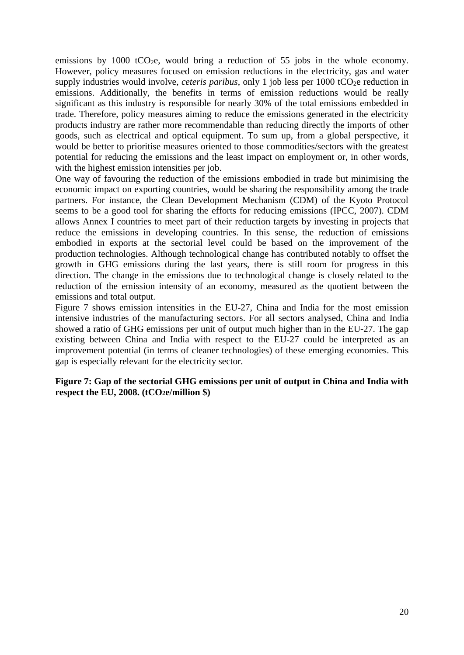emissions by 1000 tCO<sub>2</sub>e, would bring a reduction of 55 jobs in the whole economy. However, policy measures focused on emission reductions in the electricity, gas and water supply industries would involve, *ceteris paribus*, only 1 job less per 1000 tCO<sub>2</sub>e reduction in emissions. Additionally, the benefits in terms of emission reductions would be really significant as this industry is responsible for nearly 30% of the total emissions embedded in trade. Therefore, policy measures aiming to reduce the emissions generated in the electricity products industry are rather more recommendable than reducing directly the imports of other goods, such as electrical and optical equipment. To sum up, from a global perspective, it would be better to prioritise measures oriented to those commodities/sectors with the greatest potential for reducing the emissions and the least impact on employment or, in other words, with the highest emission intensities per job.

One way of favouring the reduction of the emissions embodied in trade but minimising the economic impact on exporting countries, would be sharing the responsibility among the trade partners. For instance, the Clean Development Mechanism (CDM) of the Kyoto Protocol seems to be a good tool for sharing the efforts for reducing emissions (IPCC, 2007). CDM allows Annex I countries to meet part of their reduction targets by investing in projects that reduce the emissions in developing countries. In this sense, the reduction of emissions embodied in exports at the sectorial level could be based on the improvement of the production technologies. Although technological change has contributed notably to offset the growth in GHG emissions during the last years, there is still room for progress in this direction. The change in the emissions due to technological change is closely related to the reduction of the emission intensity of an economy, measured as the quotient between the emissions and total output.

[Figure 7](#page-19-0) shows emission intensities in the EU-27, China and India for the most emission intensive industries of the manufacturing sectors. For all sectors analysed, China and India showed a ratio of GHG emissions per unit of output much higher than in the EU-27. The gap existing between China and India with respect to the EU-27 could be interpreted as an improvement potential (in terms of cleaner technologies) of these emerging economies. This gap is especially relevant for the electricity sector.

<span id="page-19-0"></span>**Figure 7: Gap of the sectorial GHG emissions per unit of output in China and India with respect the EU, 2008. (tCO2e/million \$)**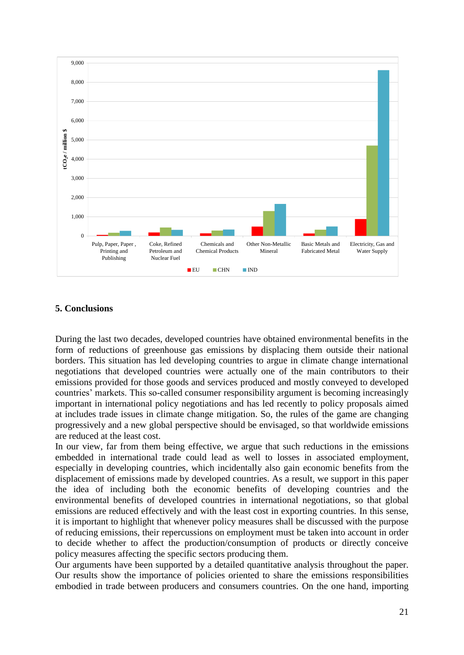

## **5. Conclusions**

During the last two decades, developed countries have obtained environmental benefits in the form of reductions of greenhouse gas emissions by displacing them outside their national borders. This situation has led developing countries to argue in climate change international negotiations that developed countries were actually one of the main contributors to their emissions provided for those goods and services produced and mostly conveyed to developed countries' markets. This so-called consumer responsibility argument is becoming increasingly important in international policy negotiations and has led recently to policy proposals aimed at includes trade issues in climate change mitigation. So, the rules of the game are changing progressively and a new global perspective should be envisaged, so that worldwide emissions are reduced at the least cost.

In our view, far from them being effective, we argue that such reductions in the emissions embedded in international trade could lead as well to losses in associated employment, especially in developing countries, which incidentally also gain economic benefits from the displacement of emissions made by developed countries. As a result, we support in this paper the idea of including both the economic benefits of developing countries and the environmental benefits of developed countries in international negotiations, so that global emissions are reduced effectively and with the least cost in exporting countries. In this sense, it is important to highlight that whenever policy measures shall be discussed with the purpose of reducing emissions, their repercussions on employment must be taken into account in order to decide whether to affect the production/consumption of products or directly conceive policy measures affecting the specific sectors producing them.

Our arguments have been supported by a detailed quantitative analysis throughout the paper. Our results show the importance of policies oriented to share the emissions responsibilities embodied in trade between producers and consumers countries. On the one hand, importing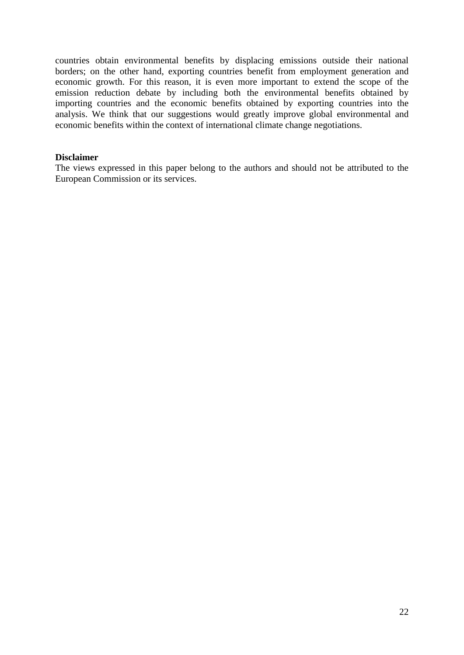countries obtain environmental benefits by displacing emissions outside their national borders; on the other hand, exporting countries benefit from employment generation and economic growth. For this reason, it is even more important to extend the scope of the emission reduction debate by including both the environmental benefits obtained by importing countries and the economic benefits obtained by exporting countries into the analysis. We think that our suggestions would greatly improve global environmental and economic benefits within the context of international climate change negotiations.

## **Disclaimer**

The views expressed in this paper belong to the authors and should not be attributed to the European Commission or its services.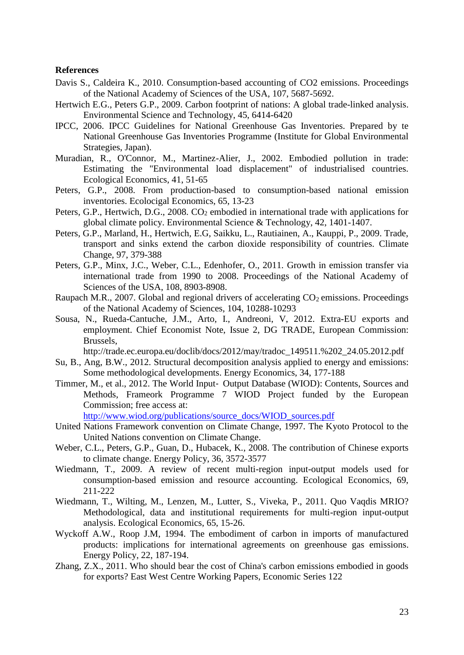#### **References**

- Davis S., Caldeira K., 2010. Consumption-based accounting of CO2 emissions. Proceedings of the National Academy of Sciences of the USA, 107, 5687-5692.
- Hertwich E.G., Peters G.P., 2009. Carbon footprint of nations: A global trade-linked analysis. Environmental Science and Technology, 45, 6414-6420
- IPCC, 2006. IPCC Guidelines for National Greenhouse Gas Inventories. Prepared by te National Greenhouse Gas Inventories Programme (Institute for Global Environmental Strategies, Japan).
- Muradian, R., O'Connor, M., Martinez-Alier, J., 2002. Embodied pollution in trade: Estimating the "Environmental load displacement" of industrialised countries. Ecological Economics, 41, 51-65
- Peters, G.P., 2008. From production-based to consumption-based national emission inventories. Ecolocigal Economics, 65, 13-23
- Peters, G.P., Hertwich, D.G., 2008. CO<sub>2</sub> embodied in international trade with applications for global climate policy. Environmental Science & Technology, 42, 1401-1407.
- Peters, G.P., Marland, H., Hertwich, E.G, Saikku, L., Rautiainen, A., Kauppi, P., 2009. Trade, transport and sinks extend the carbon dioxide responsibility of countries. Climate Change, 97, 379-388
- Peters, G.P., Minx, J.C., Weber, C.L., Edenhofer, O., 2011. Growth in emission transfer via international trade from 1990 to 2008. Proceedings of the National Academy of Sciences of the USA, 108, 8903-8908.
- Raupach M.R., 2007. Global and regional drivers of accelerating  $CO<sub>2</sub>$  emissions. Proceedings of the National Academy of Sciences, 104, 10288-10293
- Sousa, N., Rueda-Cantuche, J.M., Arto, I., Andreoni, V, 2012. Extra-EU exports and employment. Chief Economist Note, Issue 2, DG TRADE, European Commission: Brussels,

http://trade.ec.europa.eu/doclib/docs/2012/may/tradoc\_149511.%202\_24.05.2012.pdf

- Su, B., Ang, B.W., 2012. Structural decomposition analysis applied to energy and emissions: Some methodological developments. Energy Economics, 34, 177-188
- Timmer, M., et al., 2012. The World Input‐ Output Database (WIOD): Contents, Sources and Methods, Frameork Programme 7 WIOD Project funded by the European Commission; free access at:

[http://www.wiod.org/publications/source\\_docs/WIOD\\_sources.pdf](http://www.wiod.org/publications/source_docs/WIOD_sources.pdf)

- United Nations Framework convention on Climate Change, 1997. The Kyoto Protocol to the United Nations convention on Climate Change.
- Weber, C.L., Peters, G.P., Guan, D., Hubacek, K., 2008. The contribution of Chinese exports to climate change. Energy Policy, 36, 3572-3577
- Wiedmann, T., 2009. A review of recent multi-region input-output models used for consumption-based emission and resource accounting. Ecological Economics, 69, 211-222
- Wiedmann, T., Wilting, M., Lenzen, M., Lutter, S., Viveka, P., 2011. Quo Vaqdis MRIO? Methodological, data and institutional requirements for multi-region input-output analysis. Ecological Economics, 65, 15-26.
- Wyckoff A.W., Roop J.M, 1994. The embodiment of carbon in imports of manufactured products: implications for international agreements on greenhouse gas emissions. Energy Policy, 22, 187-194.
- Zhang, Z.X., 2011. Who should bear the cost of China's carbon emissions embodied in goods for exports? East West Centre Working Papers, Economic Series 122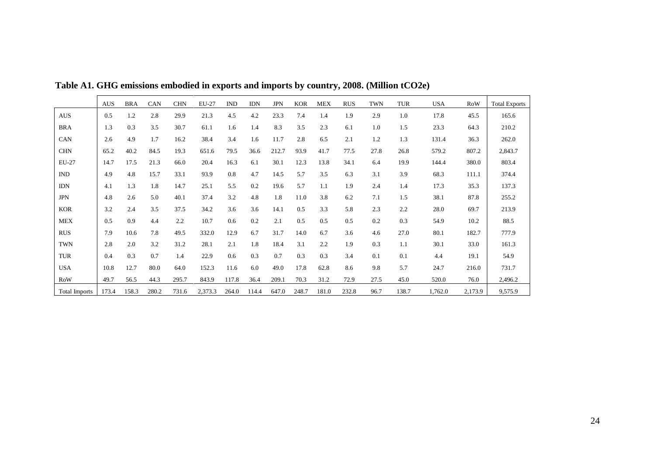|                      | <b>AUS</b> | <b>BRA</b> | CAN   | <b>CHN</b> | EU-27   | $\mathbf{IND}$ | <b>IDN</b> | <b>JPN</b> | <b>KOR</b> | <b>MEX</b> | <b>RUS</b> | <b>TWN</b> | <b>TUR</b> | <b>USA</b> | RoW     | <b>Total Exports</b> |
|----------------------|------------|------------|-------|------------|---------|----------------|------------|------------|------------|------------|------------|------------|------------|------------|---------|----------------------|
| <b>AUS</b>           | 0.5        | 1.2        | 2.8   | 29.9       | 21.3    | 4.5            | 4.2        | 23.3       | 7.4        | 1.4        | 1.9        | 2.9        | 1.0        | 17.8       | 45.5    | 165.6                |
| <b>BRA</b>           | 1.3        | 0.3        | 3.5   | 30.7       | 61.1    | 1.6            | 1.4        | 8.3        | 3.5        | 2.3        | 6.1        | 1.0        | 1.5        | 23.3       | 64.3    | 210.2                |
| CAN                  | 2.6        | 4.9        | 1.7   | 16.2       | 38.4    | 3.4            | 1.6        | 11.7       | 2.8        | 6.5        | 2.1        | 1.2        | 1.3        | 131.4      | 36.3    | 262.0                |
| <b>CHN</b>           | 65.2       | 40.2       | 84.5  | 19.3       | 651.6   | 79.5           | 36.6       | 212.7      | 93.9       | 41.7       | 77.5       | 27.8       | 26.8       | 579.2      | 807.2   | 2,843.7              |
| EU-27                | 14.7       | 17.5       | 21.3  | 66.0       | 20.4    | 16.3           | 6.1        | 30.1       | 12.3       | 13.8       | 34.1       | 6.4        | 19.9       | 144.4      | 380.0   | 803.4                |
| <b>IND</b>           | 4.9        | 4.8        | 15.7  | 33.1       | 93.9    | 0.8            | 4.7        | 14.5       | 5.7        | 3.5        | 6.3        | 3.1        | 3.9        | 68.3       | 111.1   | 374.4                |
| <b>IDN</b>           | 4.1        | 1.3        | 1.8   | 14.7       | 25.1    | 5.5            | 0.2        | 19.6       | 5.7        | 1.1        | 1.9        | 2.4        | 1.4        | 17.3       | 35.3    | 137.3                |
| <b>JPN</b>           | 4.8        | 2.6        | 5.0   | 40.1       | 37.4    | 3.2            | 4.8        | 1.8        | 11.0       | 3.8        | 6.2        | 7.1        | 1.5        | 38.1       | 87.8    | 255.2                |
| <b>KOR</b>           | 3.2        | 2.4        | 3.5   | 37.5       | 34.2    | 3.6            | 3.6        | 14.1       | 0.5        | 3.3        | 5.8        | 2.3        | 2.2        | 28.0       | 69.7    | 213.9                |
| <b>MEX</b>           | 0.5        | 0.9        | 4.4   | 2.2        | 10.7    | 0.6            | 0.2        | 2.1        | 0.5        | 0.5        | 0.5        | 0.2        | 0.3        | 54.9       | 10.2    | 88.5                 |
| <b>RUS</b>           | 7.9        | 10.6       | 7.8   | 49.5       | 332.0   | 12.9           | 6.7        | 31.7       | 14.0       | 6.7        | 3.6        | 4.6        | 27.0       | 80.1       | 182.7   | 777.9                |
| <b>TWN</b>           | 2.8        | 2.0        | 3.2   | 31.2       | 28.1    | 2.1            | 1.8        | 18.4       | 3.1        | 2.2        | 1.9        | 0.3        | 1.1        | 30.1       | 33.0    | 161.3                |
| <b>TUR</b>           | 0.4        | 0.3        | 0.7   | 1.4        | 22.9    | 0.6            | 0.3        | 0.7        | 0.3        | 0.3        | 3.4        | 0.1        | 0.1        | 4.4        | 19.1    | 54.9                 |
| <b>USA</b>           | 10.8       | 12.7       | 80.0  | 64.0       | 152.3   | 11.6           | 6.0        | 49.0       | 17.8       | 62.8       | 8.6        | 9.8        | 5.7        | 24.7       | 216.0   | 731.7                |
| RoW                  | 49.7       | 56.5       | 44.3  | 295.7      | 843.9   | 117.8          | 36.4       | 209.1      | 70.3       | 31.2       | 72.9       | 27.5       | 45.0       | 520.0      | 76.0    | 2,496.2              |
| <b>Total Imports</b> | 173.4      | 158.3      | 280.2 | 731.6      | 2,373.3 | 264.0          | 114.4      | 647.0      | 248.7      | 181.0      | 232.8      | 96.7       | 138.7      | 1,762.0    | 2,173.9 | 9,575.9              |

**Table A1. GHG emissions embodied in exports and imports by country, 2008. (Million tCO2e)**